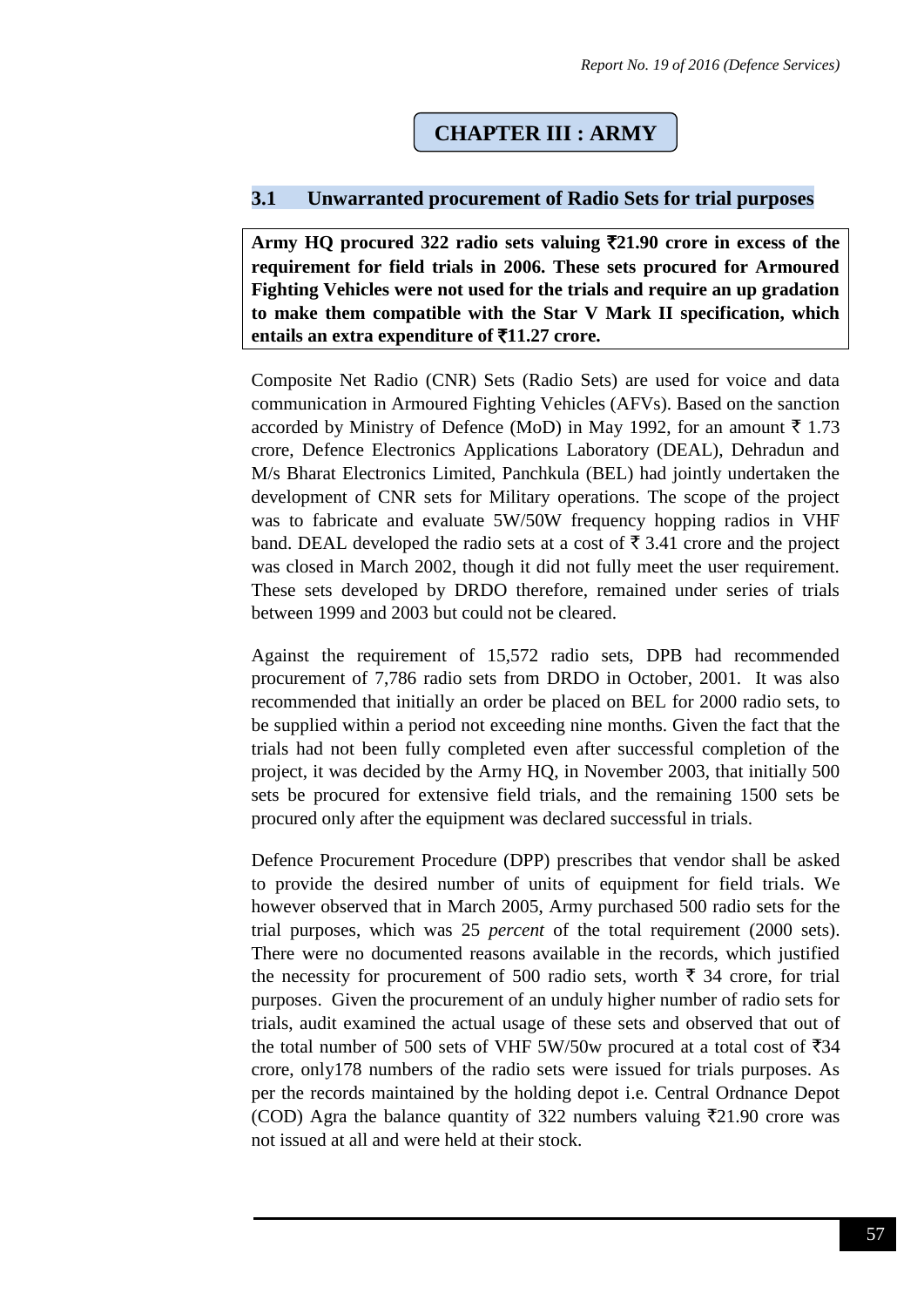# **CHAPTER III : ARMY**

## **3.1 Unwarranted procurement of Radio Sets for trial purposes**

**Army HQ procured 322 radio sets valuing** `**21.90 crore in excess of the requirement for field trials in 2006. These sets procured for Armoured Fighting Vehicles were not used for the trials and require an up gradation to make them compatible with the Star V Mark II specification, which entails an extra expenditure of** `**11.27 crore.**

Composite Net Radio (CNR) Sets (Radio Sets) are used for voice and data communication in Armoured Fighting Vehicles (AFVs). Based on the sanction accorded by Ministry of Defence (MoD) in May 1992, for an amount  $\bar{\tau}$  1.73 crore, Defence Electronics Applications Laboratory (DEAL), Dehradun and M/s Bharat Electronics Limited, Panchkula (BEL) had jointly undertaken the development of CNR sets for Military operations. The scope of the project was to fabricate and evaluate 5W/50W frequency hopping radios in VHF band. DEAL developed the radio sets at a cost of  $\bar{\tau}$  3.41 crore and the project was closed in March 2002, though it did not fully meet the user requirement. These sets developed by DRDO therefore, remained under series of trials between 1999 and 2003 but could not be cleared.

Against the requirement of 15,572 radio sets, DPB had recommended procurement of 7,786 radio sets from DRDO in October, 2001. It was also recommended that initially an order be placed on BEL for 2000 radio sets, to be supplied within a period not exceeding nine months. Given the fact that the trials had not been fully completed even after successful completion of the project, it was decided by the Army HQ, in November 2003, that initially 500 sets be procured for extensive field trials, and the remaining 1500 sets be procured only after the equipment was declared successful in trials.

Defence Procurement Procedure (DPP) prescribes that vendor shall be asked to provide the desired number of units of equipment for field trials. We however observed that in March 2005, Army purchased 500 radio sets for the trial purposes, which was 25 *percent* of the total requirement (2000 sets). There were no documented reasons available in the records, which justified the necessity for procurement of 500 radio sets, worth  $\bar{\xi}$  34 crore, for trial purposes. Given the procurement of an unduly higher number of radio sets for trials, audit examined the actual usage of these sets and observed that out of the total number of 500 sets of VHF 5W/50w procured at a total cost of  $\overline{5}34$ crore, only178 numbers of the radio sets were issued for trials purposes. As per the records maintained by the holding depot i.e. Central Ordnance Depot (COD) Agra the balance quantity of 322 numbers valuing  $\overline{5}21.90$  crore was not issued at all and were held at their stock.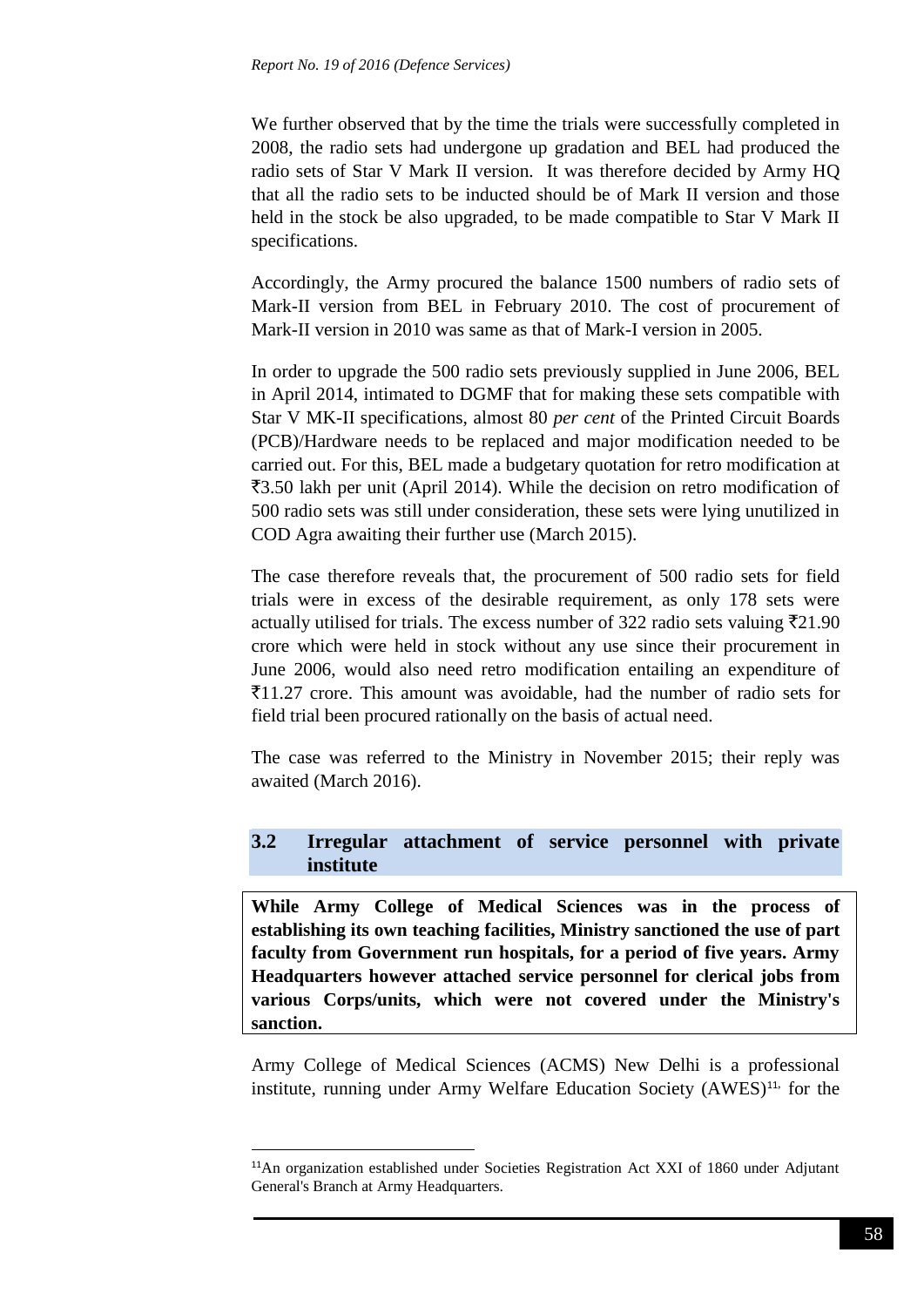We further observed that by the time the trials were successfully completed in 2008, the radio sets had undergone up gradation and BEL had produced the radio sets of Star V Mark II version. It was therefore decided by Army HQ that all the radio sets to be inducted should be of Mark II version and those held in the stock be also upgraded, to be made compatible to Star V Mark II specifications.

Accordingly, the Army procured the balance 1500 numbers of radio sets of Mark-II version from BEL in February 2010. The cost of procurement of Mark-II version in 2010 was same as that of Mark-I version in 2005.

In order to upgrade the 500 radio sets previously supplied in June 2006, BEL in April 2014, intimated to DGMF that for making these sets compatible with Star V MK-II specifications, almost 80 *per cent* of the Printed Circuit Boards (PCB)/Hardware needs to be replaced and major modification needed to be carried out. For this, BEL made a budgetary quotation for retro modification at  $\overline{3}3.50$  lakh per unit (April 2014). While the decision on retro modification of 500 radio sets was still under consideration, these sets were lying unutilized in COD Agra awaiting their further use (March 2015).

The case therefore reveals that, the procurement of 500 radio sets for field trials were in excess of the desirable requirement, as only 178 sets were actually utilised for trials. The excess number of 322 radio sets valuing  $\bar{\tau}$ 21.90 crore which were held in stock without any use since their procurement in June 2006, would also need retro modification entailing an expenditure of  $\bar{z}$ 11.27 crore. This amount was avoidable, had the number of radio sets for field trial been procured rationally on the basis of actual need.

The case was referred to the Ministry in November 2015; their reply was awaited (March 2016).

## **3.2 Irregular attachment of service personnel with private institute**

**While Army College of Medical Sciences was in the process of establishing its own teaching facilities, Ministry sanctioned the use of part faculty from Government run hospitals, for a period of five years. Army Headquarters however attached service personnel for clerical jobs from various Corps/units, which were not covered under the Ministry's sanction.**

Army College of Medical Sciences (ACMS) New Delhi is a professional institute, running under Army Welfare Education Society (AWES)<sup>11,</sup> for the

**.** 

<sup>11</sup>An organization established under Societies Registration Act XXI of 1860 under Adjutant General's Branch at Army Headquarters.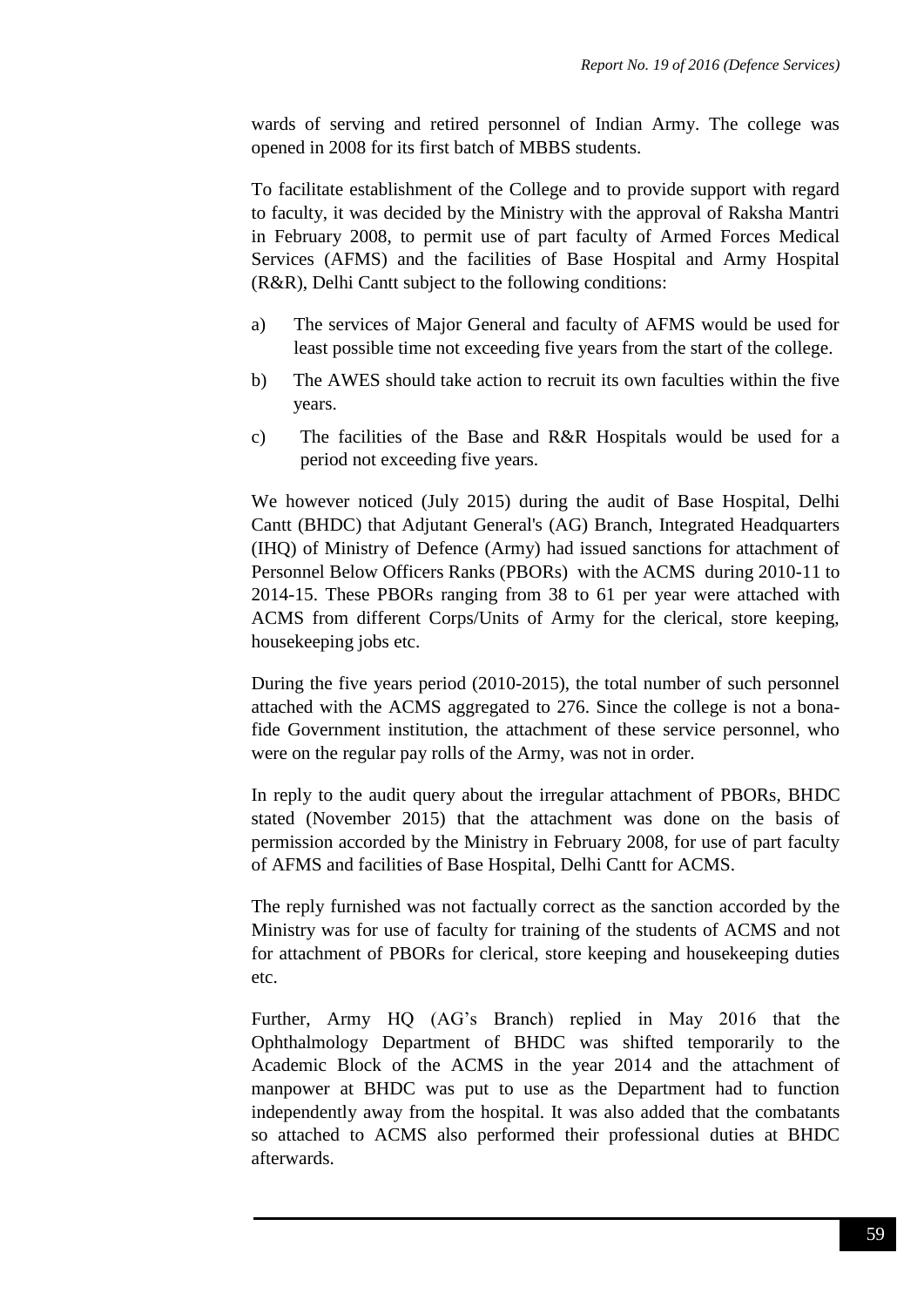wards of serving and retired personnel of Indian Army. The college was opened in 2008 for its first batch of MBBS students.

To facilitate establishment of the College and to provide support with regard to faculty, it was decided by the Ministry with the approval of Raksha Mantri in February 2008, to permit use of part faculty of Armed Forces Medical Services (AFMS) and the facilities of Base Hospital and Army Hospital (R&R), Delhi Cantt subject to the following conditions:

- a) The services of Major General and faculty of AFMS would be used for least possible time not exceeding five years from the start of the college.
- b) The AWES should take action to recruit its own faculties within the five years.
- c) The facilities of the Base and R&R Hospitals would be used for a period not exceeding five years.

We however noticed (July 2015) during the audit of Base Hospital, Delhi Cantt (BHDC) that Adjutant General's (AG) Branch, Integrated Headquarters (IHQ) of Ministry of Defence (Army) had issued sanctions for attachment of Personnel Below Officers Ranks (PBORs) with the ACMS during 2010-11 to 2014-15. These PBORs ranging from 38 to 61 per year were attached with ACMS from different Corps/Units of Army for the clerical, store keeping, housekeeping jobs etc.

During the five years period (2010-2015), the total number of such personnel attached with the ACMS aggregated to 276. Since the college is not a bonafide Government institution, the attachment of these service personnel, who were on the regular pay rolls of the Army, was not in order.

In reply to the audit query about the irregular attachment of PBORs, BHDC stated (November 2015) that the attachment was done on the basis of permission accorded by the Ministry in February 2008, for use of part faculty of AFMS and facilities of Base Hospital, Delhi Cantt for ACMS.

The reply furnished was not factually correct as the sanction accorded by the Ministry was for use of faculty for training of the students of ACMS and not for attachment of PBORs for clerical, store keeping and housekeeping duties etc.

Further, Army HQ (AG's Branch) replied in May 2016 that the Ophthalmology Department of BHDC was shifted temporarily to the Academic Block of the ACMS in the year 2014 and the attachment of manpower at BHDC was put to use as the Department had to function independently away from the hospital. It was also added that the combatants so attached to ACMS also performed their professional duties at BHDC afterwards.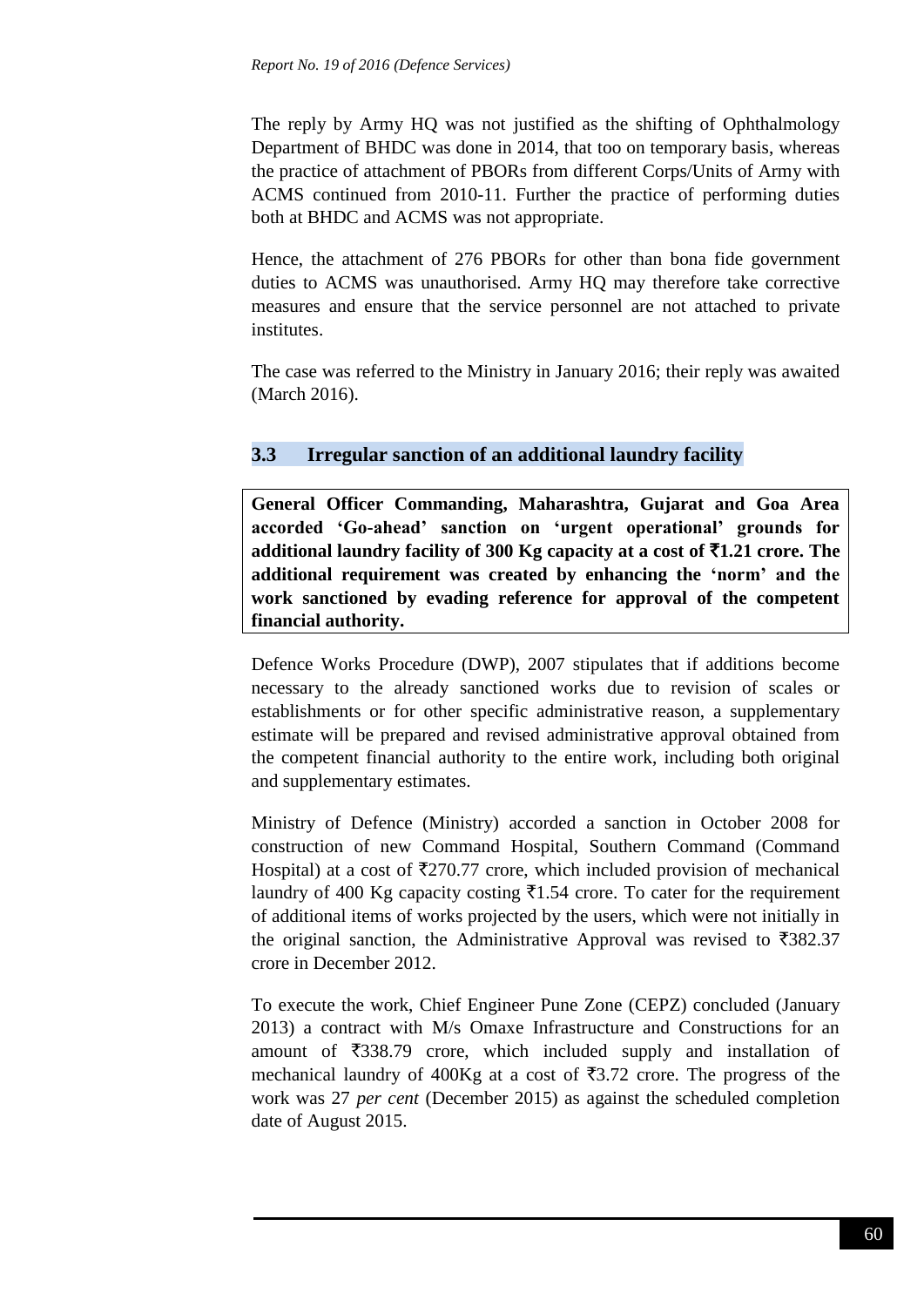The reply by Army HQ was not justified as the shifting of Ophthalmology Department of BHDC was done in 2014, that too on temporary basis, whereas the practice of attachment of PBORs from different Corps/Units of Army with ACMS continued from 2010-11. Further the practice of performing duties both at BHDC and ACMS was not appropriate.

Hence, the attachment of 276 PBORs for other than bona fide government duties to ACMS was unauthorised. Army HQ may therefore take corrective measures and ensure that the service personnel are not attached to private institutes.

The case was referred to the Ministry in January 2016; their reply was awaited (March 2016).

## **3.3 Irregular sanction of an additional laundry facility**

**General Officer Commanding, Maharashtra, Gujarat and Goa Area accorded 'Go-ahead' sanction on 'urgent operational' grounds for additional laundry facility of 300 Kg capacity at a cost of** `**1.21 crore. The additional requirement was created by enhancing the 'norm' and the work sanctioned by evading reference for approval of the competent financial authority.**

Defence Works Procedure (DWP), 2007 stipulates that if additions become necessary to the already sanctioned works due to revision of scales or establishments or for other specific administrative reason, a supplementary estimate will be prepared and revised administrative approval obtained from the competent financial authority to the entire work, including both original and supplementary estimates.

Ministry of Defence (Ministry) accorded a sanction in October 2008 for construction of new Command Hospital, Southern Command (Command Hospital) at a cost of  $\overline{\xi}270.77$  crore, which included provision of mechanical laundry of 400 Kg capacity costing  $\overline{51.54}$  crore. To cater for the requirement of additional items of works projected by the users, which were not initially in the original sanction, the Administrative Approval was revised to  $\overline{\mathfrak{Z}}382.37$ crore in December 2012.

To execute the work, Chief Engineer Pune Zone (CEPZ) concluded (January 2013) a contract with M/s Omaxe Infrastructure and Constructions for an amount of  $\overline{\xi}$ 338.79 crore, which included supply and installation of mechanical laundry of 400Kg at a cost of  $\overline{53.72}$  crore. The progress of the work was 27 *per cent* (December 2015) as against the scheduled completion date of August 2015.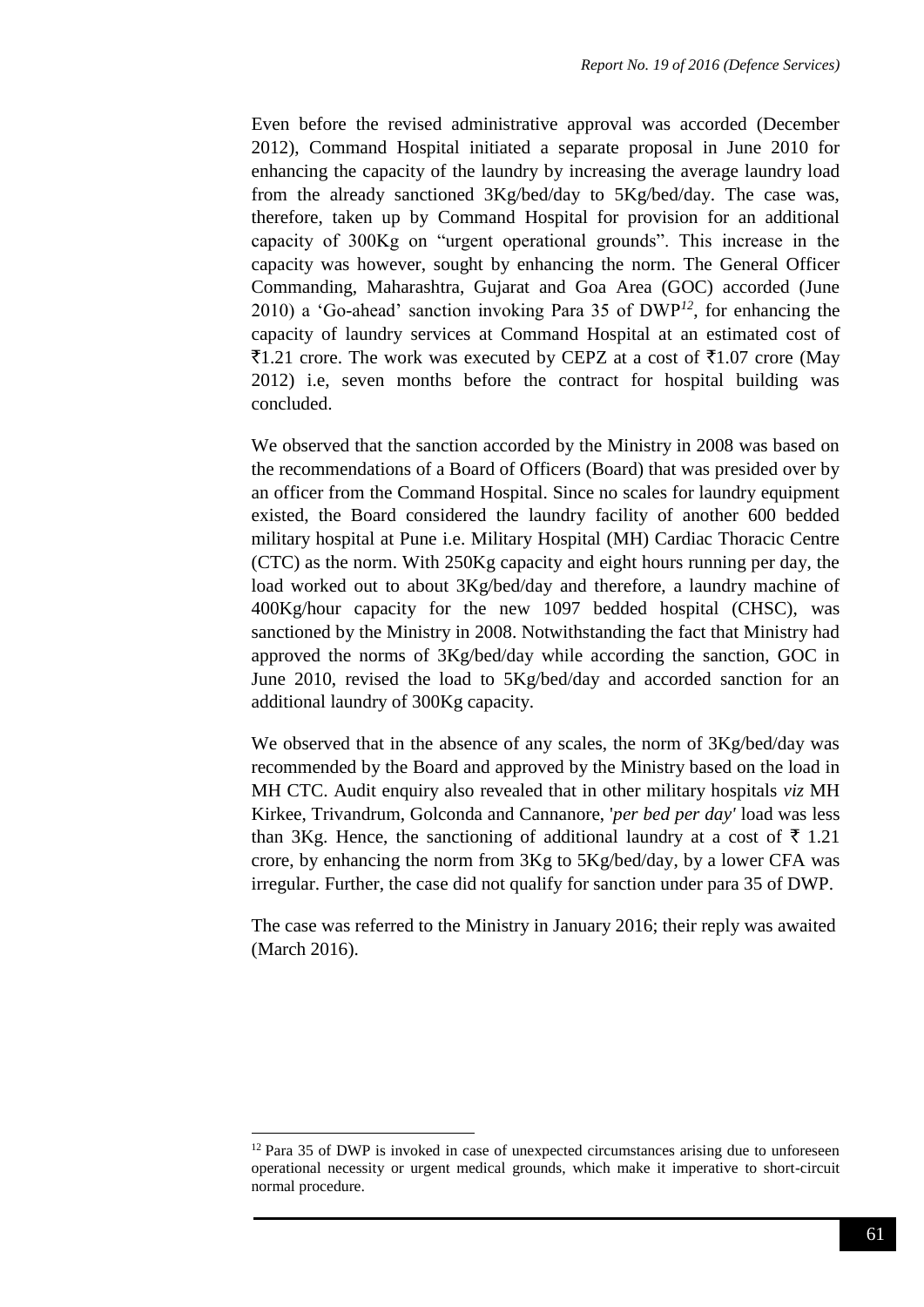Even before the revised administrative approval was accorded (December 2012), Command Hospital initiated a separate proposal in June 2010 for enhancing the capacity of the laundry by increasing the average laundry load from the already sanctioned 3Kg/bed/day to 5Kg/bed/day. The case was, therefore, taken up by Command Hospital for provision for an additional capacity of 300Kg on "urgent operational grounds". This increase in the capacity was however, sought by enhancing the norm. The General Officer Commanding, Maharashtra, Gujarat and Goa Area (GOC) accorded (June 2010) a 'Go-ahead' sanction invoking Para 35 of DWP*<sup>12</sup>*, for enhancing the capacity of laundry services at Command Hospital at an estimated cost of  $\overline{51.21}$  crore. The work was executed by CEPZ at a cost of  $\overline{51.07}$  crore (May 2012) i.e, seven months before the contract for hospital building was concluded.

We observed that the sanction accorded by the Ministry in 2008 was based on the recommendations of a Board of Officers (Board) that was presided over by an officer from the Command Hospital. Since no scales for laundry equipment existed, the Board considered the laundry facility of another 600 bedded military hospital at Pune i.e. Military Hospital (MH) Cardiac Thoracic Centre (CTC) as the norm. With 250Kg capacity and eight hours running per day, the load worked out to about 3Kg/bed/day and therefore, a laundry machine of 400Kg/hour capacity for the new 1097 bedded hospital (CHSC), was sanctioned by the Ministry in 2008. Notwithstanding the fact that Ministry had approved the norms of 3Kg/bed/day while according the sanction, GOC in June 2010, revised the load to 5Kg/bed/day and accorded sanction for an additional laundry of 300Kg capacity.

We observed that in the absence of any scales, the norm of  $3Kg/bed/day$  was recommended by the Board and approved by the Ministry based on the load in MH CTC. Audit enquiry also revealed that in other military hospitals *viz* MH Kirkee, Trivandrum, Golconda and Cannanore, '*per bed per day'* load was less than 3Kg. Hence, the sanctioning of additional laundry at a cost of  $\bar{\tau}$  1.21 crore, by enhancing the norm from 3Kg to 5Kg/bed/day, by a lower CFA was irregular. Further, the case did not qualify for sanction under para 35 of DWP.

The case was referred to the Ministry in January 2016; their reply was awaited (March 2016).

1

 $12$  Para 35 of DWP is invoked in case of unexpected circumstances arising due to unforeseen operational necessity or urgent medical grounds, which make it imperative to short-circuit normal procedure.